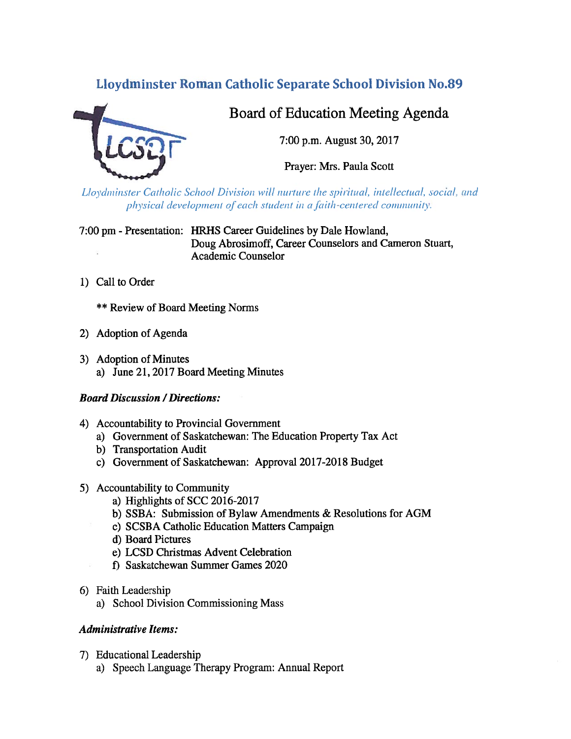# Lloydminster Roman Catholic Separate School Division No.89



# Board of Education Meeting Agenda

7:00 p.m. August 30, 2017

Prayer: Mrs. Paula Scott

Lloydminster Catholic School Division will nurture the spiritual, intellectual, social, and physical development of each student in a faith-centered community.

7:00 pm - Presentation: HRHS Career Guidelines by Dale Howland, Doug Abrosimoff, Career Counselors and Cameron Stuart, Academic Counselor

1) Call to Order

\*\* Review of Board Meeting Norms

- 2) Adoption of Agenda
- 3) Adoption of Minutes a) June 21, 2017 Board Meeting Minutes

# Board Discussion / Directions:

- 4) Accountability to Provincial Government
	- a) Government of Saskatchewan: The Education Property Tax Act
	- b) Transportation Audit
	- c) Government of Saskatchewan: Approval 2017-2018 Budget
- 5) Accountability to Community
	- a) Highlights of SCC 2016-2017
	- b) SSBA: Submission of Bylaw Amendments & Resolutions for AGM
	- c) SCSBA Catholic Education Matters Campaign
	- d) Board Pictures
	- e) LCSD Christmas Advent Celebration
	- 1) Saskatchewan Summer Games 2020
- 6) faith Leadership
	- a) School Division Commissioning Mass

# Administrative Items:

- 7) Educational Leadership
	- a) Speech Language Therapy Program: Annual Report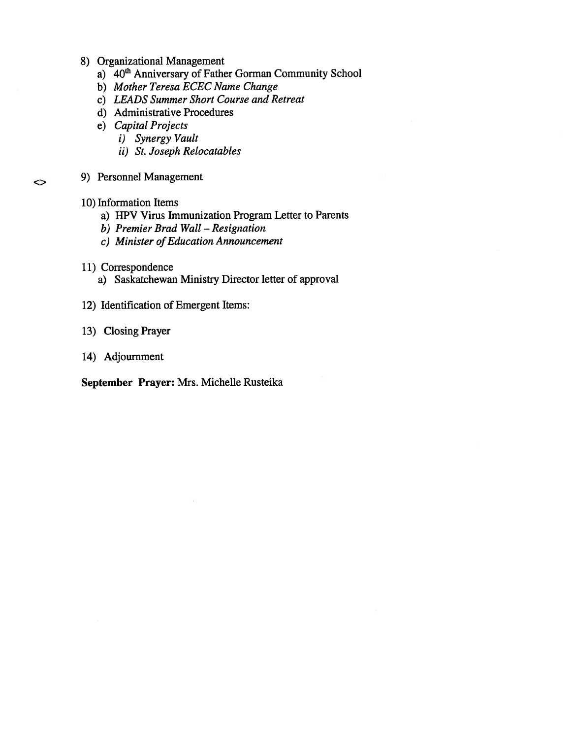- 8) Organizational Management
	- a) 40<sup>th</sup> Anniversary of Father Gorman Community School
	- b) Mother Teresa ECEC Name Change
	- c) LEADS Summer Short Course and Retreat
	- d) Administrative Procedures
	- e) Capital Projects
		- i) Synergy Vault
		- ii) St. Joseph Relocatables
- 9) Personnel Management
- 10) Information Items

◇

- a) HPV Virus Immunization Program Letter to Parents
- b) Premier Brad Wall Resignation
- c) Minister of Education Announcement
- 11) Correspondence
	- a) Saskatchewan Ministry Director letter of approval
- 12) Identification of Emergent Items:
- 13) Closing Prayer
- 14) Adjournment

September Prayer: Mrs. Michelle Rusteika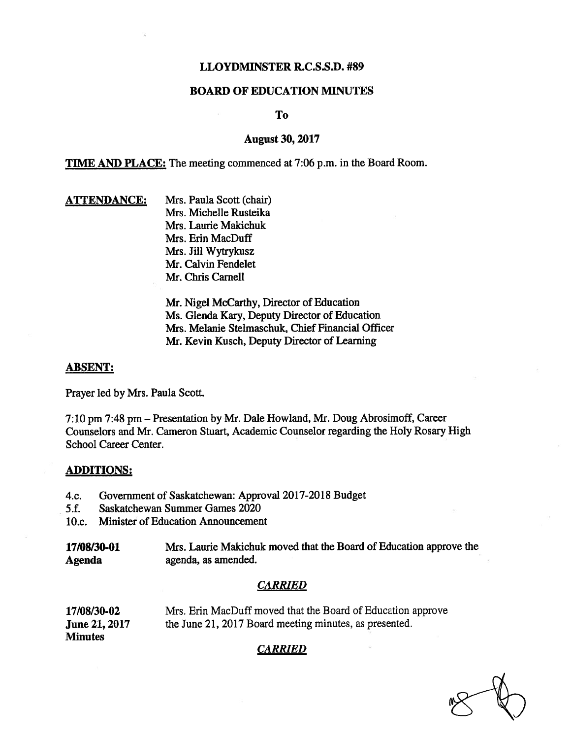## LLOYDMINSTER R.C.S.S.D. #89

## BOARD OF EDUCATION MINUTES

To

## August 30, 2017

TIME AND PLACE: The meeting commenced at 7:06 p.m. in the Board Room.

## **ATTENDANCE:** Mrs. Paula Scott (chair) Mrs. Michelle Rusteika Mrs. Laurie Makichuk Mrs. Erin MacDuff Mrs. Jill Wytrykusz Mr. Calvin Fendelet Mr. Chris Carnell

Mr. Nigel McCarthy, Director of Education Ms. Glenda Kary, Deputy Director of Education Mrs. Melanie Stelmaschuk, Chief Financial Officer Mr. Kevin Kusch, Deputy Director of Learning

#### ABSENT:

Prayer led by Mrs. Paula Scott.

7:10 pm 7:48 pm — Presentation by Mr. Dale Howland, Mr. Doug Abrosimoff, Career Counselors and Mr. Cameron Stuart, Academic Counselor regarding the Holy Rosary High School Career Center.

#### ADDITIONS:

- 4.c. Government of Saskatchewan: Approval 2017-2018 Budget
- 5.f. Saskatchewan Summer Games 2020
- 10.c. Minister of Education Announcement

17/08/30-01 Mrs. Laurie Makichuk moved that the Board of Education approve the Agenda agenda, as amended.

#### CARRIED

17/08/30-02 Mrs. Erin MacDuff moved that the Board of Education approve June 21, 2017 the June 21, 2017 Board meeting minutes, as presented. **Minutes** 

## CARRIED